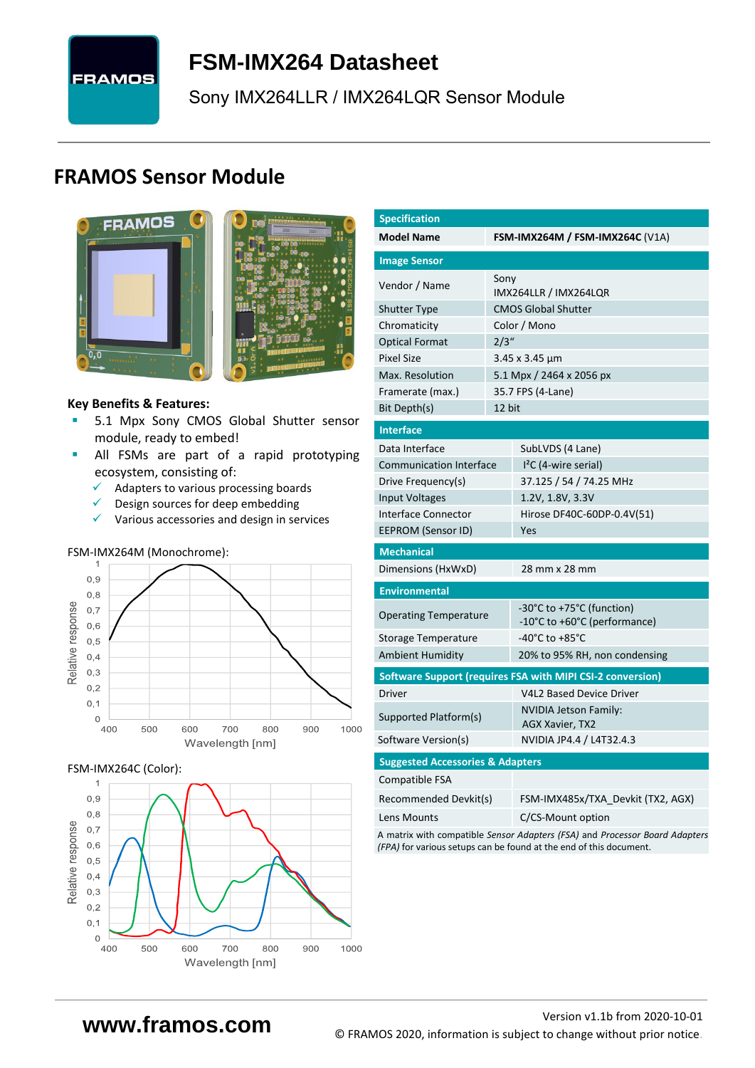# **FRAMOS**

# **FSM-IMX264 [Datasheet](#page-0-0)**

[Sony](#page-0-1) [IMX264LLR / IMX264LQR](#page-0-2) Sensor Module

# **FRAMOS Sensor Module**



<span id="page-0-3"></span><span id="page-0-0"></span>

# **Key Benefits & Features:**

- **[5.1](#page-0-4) Mpx [Sony](#page-0-1) [CMOS Global Shutter](#page-0-5) sensor** module, ready to embed!
- **E** All FSMs are part of a rapid prototyping ecosystem, consisting of:
	- ✓ Adapters to various processing boards
	- ✓ Design sources for deep embedding
	- ✓ Various accessories and design in services

# FSM-IMX264M (Monochrome):



### FSM-IMX264C (Color):



<span id="page-0-6"></span><span id="page-0-5"></span><span id="page-0-4"></span><span id="page-0-2"></span><span id="page-0-1"></span>

| <b>Specification</b>                                                        |        |                                                            |  |  |  |  |  |  |
|-----------------------------------------------------------------------------|--------|------------------------------------------------------------|--|--|--|--|--|--|
| <b>Model Name</b>                                                           |        | <b>FSM-IMX264M / FSM-IMX264C (V1A)</b>                     |  |  |  |  |  |  |
| <b>Image Sensor</b>                                                         |        |                                                            |  |  |  |  |  |  |
| Vendor / Name                                                               | Sony   |                                                            |  |  |  |  |  |  |
|                                                                             |        | IMX264LLR / IMX264LQR                                      |  |  |  |  |  |  |
| <b>Shutter Type</b>                                                         |        | <b>CMOS Global Shutter</b>                                 |  |  |  |  |  |  |
| Chromaticity                                                                |        | Color / Mono                                               |  |  |  |  |  |  |
| <b>Optical Format</b>                                                       | 2/3''  |                                                            |  |  |  |  |  |  |
| <b>Pixel Size</b>                                                           |        | $3.45 \times 3.45 \mu m$                                   |  |  |  |  |  |  |
| Max. Resolution                                                             |        | 5.1 Mpx / 2464 x 2056 px                                   |  |  |  |  |  |  |
| Framerate (max.)                                                            |        | 35.7 FPS (4-Lane)                                          |  |  |  |  |  |  |
| Bit Depth(s)                                                                | 12 bit |                                                            |  |  |  |  |  |  |
| <b>Interface</b>                                                            |        |                                                            |  |  |  |  |  |  |
| Data Interface                                                              |        | SubLVDS (4 Lane)                                           |  |  |  |  |  |  |
| Communication Interface                                                     |        | $12C$ (4-wire serial)                                      |  |  |  |  |  |  |
| Drive Frequency(s)                                                          |        | 37.125 / 54 / 74.25 MHz                                    |  |  |  |  |  |  |
| <b>Input Voltages</b>                                                       |        | 1.2V, 1.8V, 3.3V                                           |  |  |  |  |  |  |
| <b>Interface Connector</b>                                                  |        | Hirose DF40C-60DP-0.4V(51)                                 |  |  |  |  |  |  |
| EEPROM (Sensor ID)                                                          |        | Yes                                                        |  |  |  |  |  |  |
| <b>Mechanical</b>                                                           |        |                                                            |  |  |  |  |  |  |
| Dimensions (HxWxD)                                                          |        | 28 mm x 28 mm                                              |  |  |  |  |  |  |
| <b>Environmental</b>                                                        |        |                                                            |  |  |  |  |  |  |
| <b>Operating Temperature</b>                                                |        | -30°C to +75°C (function)                                  |  |  |  |  |  |  |
|                                                                             |        | -10°C to +60°C (performance)                               |  |  |  |  |  |  |
| Storage Temperature                                                         |        | -40°C to +85°C                                             |  |  |  |  |  |  |
| <b>Ambient Humidity</b>                                                     |        | 20% to 95% RH, non condensing                              |  |  |  |  |  |  |
|                                                                             |        | Software Support (requires FSA with MIPI CSI-2 conversion) |  |  |  |  |  |  |
| Driver                                                                      |        | <b>V4L2 Based Device Driver</b>                            |  |  |  |  |  |  |
| Supported Platform(s)                                                       |        | NVIDIA Jetson Family:<br><b>AGX Xavier, TX2</b>            |  |  |  |  |  |  |
| Software Version(s)                                                         |        | NVIDIA JP4.4 / L4T32.4.3                                   |  |  |  |  |  |  |
| <b>Suggested Accessories &amp; Adapters</b>                                 |        |                                                            |  |  |  |  |  |  |
| Compatible FSA                                                              |        |                                                            |  |  |  |  |  |  |
| Recommended Devkit(s)                                                       |        | FSM-IMX485x/TXA Devkit (TX2, AGX)                          |  |  |  |  |  |  |
| Lens Mounts                                                                 |        | C/CS-Mount option                                          |  |  |  |  |  |  |
| A matrix with compatible Sensor Adapters (FSA) and Processor Board Adapters |        |                                                            |  |  |  |  |  |  |

A matrix with compatible *Sensor Adapters (FSA)* and *Processor Board Adapters (FPA)* for various setups can be found at the end of this document.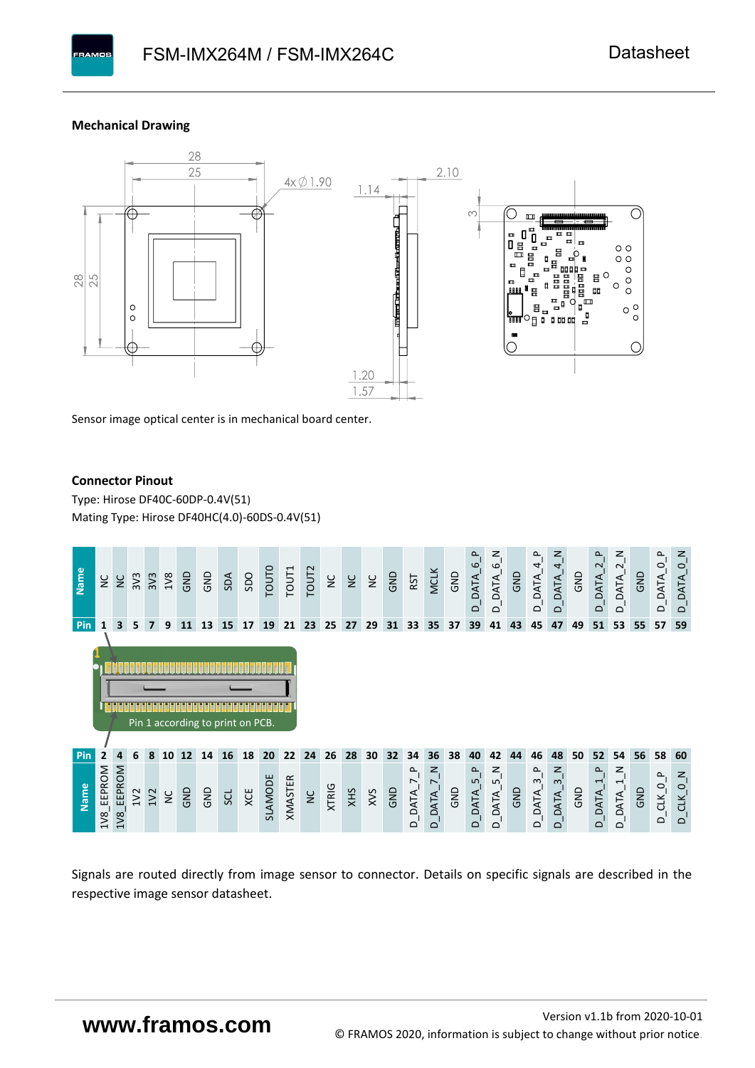# **Mechanical Drawing**

**PAMOS** 



Sensor image optical center is in mechanical board center.

# **Connector Pinout**

Type: [Hirose DF40C-60DP-0.4V\(51](#page-0-6)[\)](#page-0-6)  Mating Type: Hirose DF40HC(4.0)-60DS-0.4V(51)



Signals are routed directly from image sensor to connector. Details on specific signals are described in the respective image sensor datasheet.

# **www.framos.com**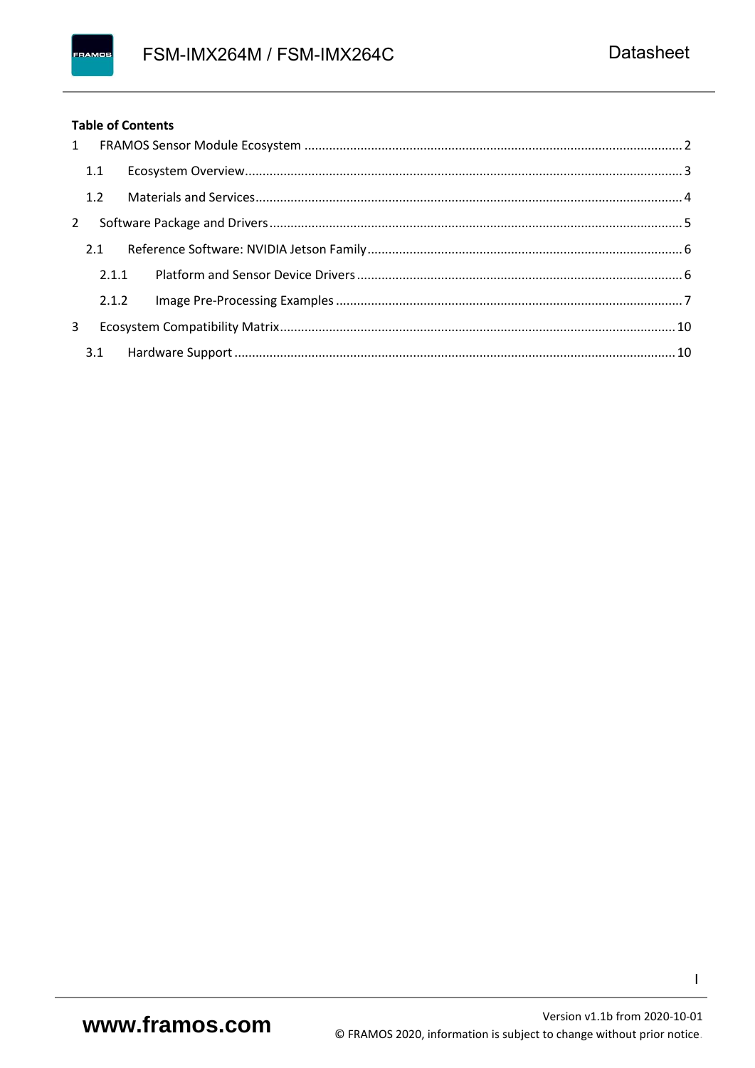# **Table of Contents**

|             | 1.1   |       |  |
|-------------|-------|-------|--|
|             |       |       |  |
| $2^{\circ}$ |       |       |  |
|             | 2.1   |       |  |
|             |       | 2.1.1 |  |
|             | 2.1.2 |       |  |
| 3           |       |       |  |
|             |       |       |  |

 $\mathbf{I}$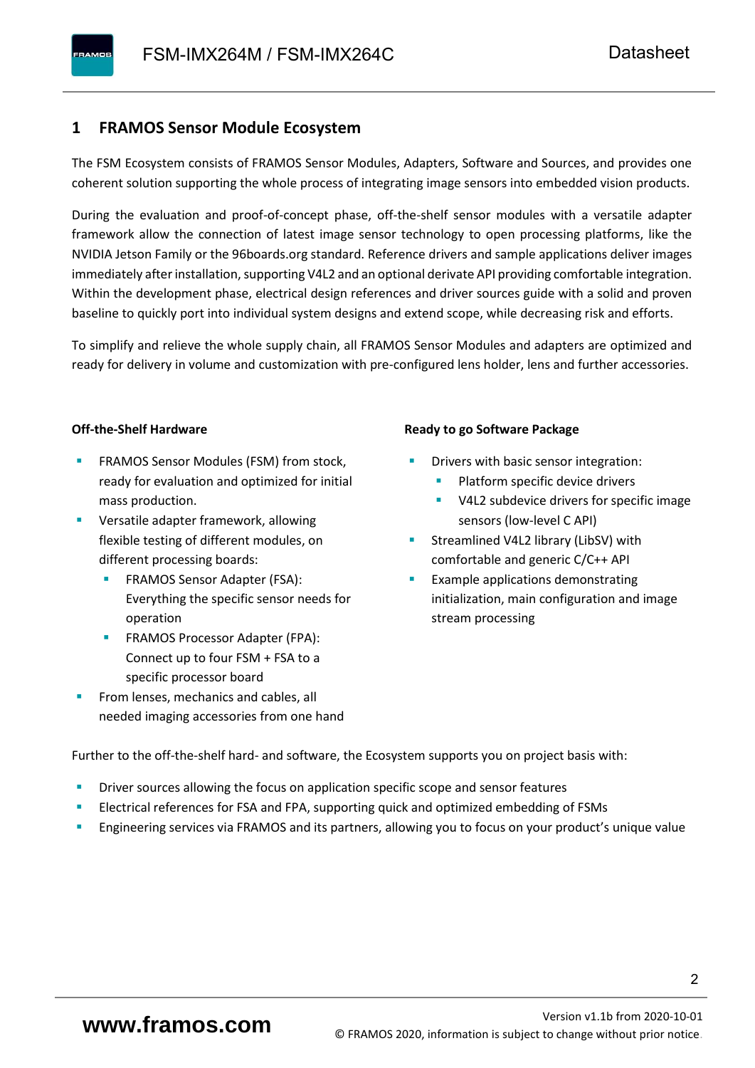# <span id="page-3-0"></span>**1 FRAMOS Sensor Module Ecosystem**

The FSM Ecosystem consists of FRAMOS Sensor Modules, Adapters, Software and Sources, and provides one coherent solution supporting the whole process of integrating image sensors into embedded vision products.

During the evaluation and proof-of-concept phase, off-the-shelf sensor modules with a versatile adapter framework allow the connection of latest image sensor technology to open processing platforms, like the NVIDIA Jetson Family or the 96boards.org standard. Reference drivers and sample applications deliver images immediately after installation, supporting V4L2 and an optional derivate API providing comfortable integration. Within the development phase, electrical design references and driver sources guide with a solid and proven baseline to quickly port into individual system designs and extend scope, while decreasing risk and efforts.

To simplify and relieve the whole supply chain, all FRAMOS Sensor Modules and adapters are optimized and ready for delivery in volume and customization with pre-configured lens holder, lens and further accessories.

# **Off-the-Shelf Hardware**

- FRAMOS Sensor Modules (FSM) from stock, ready for evaluation and optimized for initial mass production.
- Versatile adapter framework, allowing flexible testing of different modules, on different processing boards:
	- FRAMOS Sensor Adapter (FSA): Everything the specific sensor needs for operation
	- FRAMOS Processor Adapter (FPA): Connect up to four FSM + FSA to a specific processor board
- From lenses, mechanics and cables, all needed imaging accessories from one hand

#### **Ready to go Software Package**

- Drivers with basic sensor integration:
	- Platform specific device drivers
	- V4L2 subdevice drivers for specific image sensors (low-level C API)
- Streamlined V4L2 library (LibSV) with comfortable and generic C/C++ API
- Example applications demonstrating initialization, main configuration and image stream processing

Further to the off-the-shelf hard- and software, the Ecosystem supports you on project basis with:

- Driver sources allowing the focus on application specific scope and sensor features
- Electrical references for FSA and FPA, supporting quick and optimized embedding of FSMs
- Engineering services via FRAMOS and its partners, allowing you to focus on your product's unique value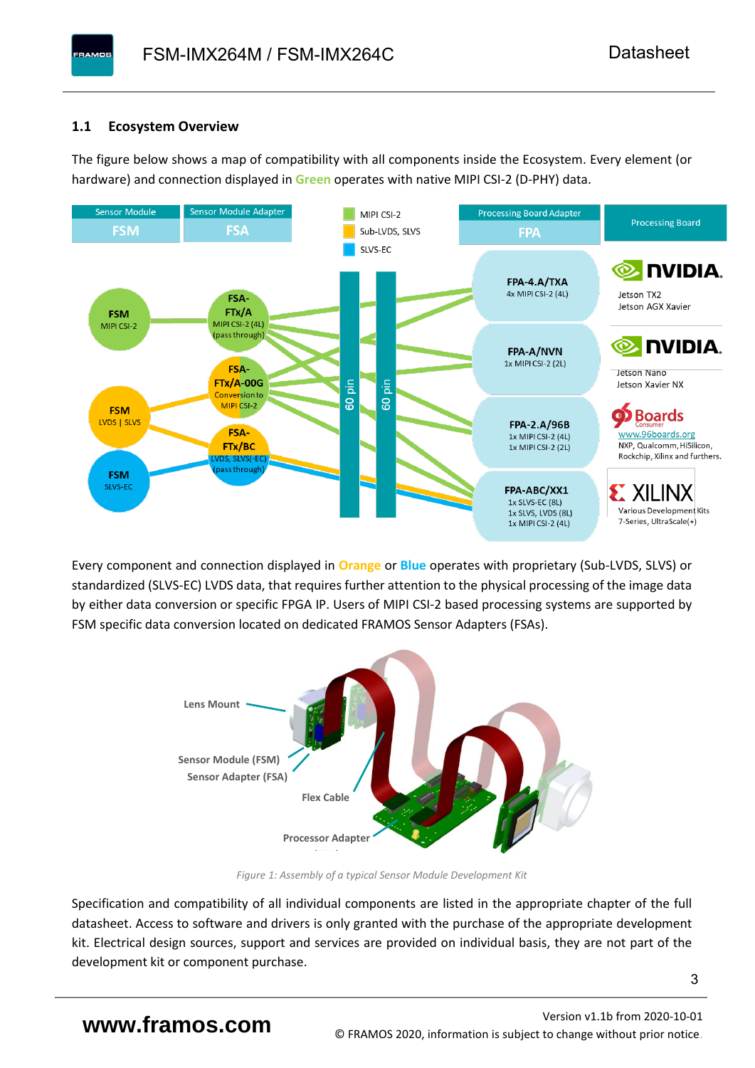# <span id="page-4-0"></span>**1.1 Ecosystem Overview**

**PAMOS** 

The figure below shows a map of compatibility with all components inside the Ecosystem. Every element (or hardware) and connection displayed in **Green** operates with native MIPI CSI-2 (D-PHY) data.



Every component and connection displayed in **Orange** or **Blue** operates with proprietary (Sub-LVDS, SLVS) or standardized (SLVS-EC) LVDS data, that requires further attention to the physical processing of the image data by either data conversion or specific FPGA IP. Users of MIPI CSI-2 based processing systems are supported by FSM specific data conversion located on dedicated FRAMOS Sensor Adapters (FSAs).



*Figure 1: Assembly of a typical Sensor Module Development Kit*

Specification and compatibility of all individual components are listed in the appropriate chapter of the full datasheet. Access to software and drivers is only granted with the purchase of the appropriate development kit. Electrical design sources, support and services are provided on individual basis, they are not part of the development kit or component purchase.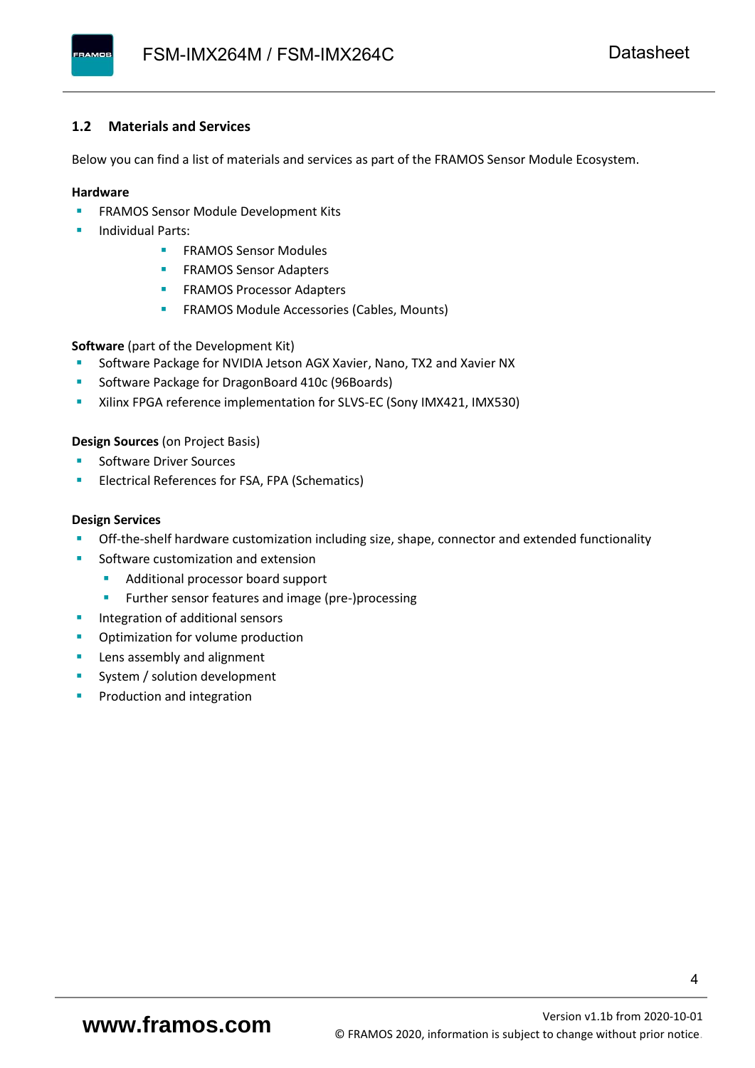# <span id="page-5-0"></span>**1.2 Materials and Services**

Below you can find a list of materials and services as part of the FRAMOS Sensor Module Ecosystem.

# **Hardware**

- **EXECTED FRAMOS Sensor Module Development Kits**
- **Individual Parts:** 
	- FRAMOS Sensor Modules
	- **FRAMOS Sensor Adapters**
	- **EXAMOS Processor Adapters**
	- **EXECTED** FRAMOS Module Accessories (Cables, Mounts)

**Software** (part of the Development Kit)

- Software Package for NVIDIA Jetson AGX Xavier, Nano, TX2 and Xavier NX
- Software Package for DragonBoard 410c (96Boards)
- Xilinx FPGA reference implementation for SLVS-EC (Sony IMX421, IMX530)

# **Design Sources** (on Project Basis)

- Software Driver Sources
- Electrical References for FSA, FPA (Schematics)

### **Design Services**

- Off-the-shelf hardware customization including size, shape, connector and extended functionality
- Software customization and extension
	- Additional processor board support
	- Further sensor features and image (pre-)processing
- **■** Integration of additional sensors
- **•** Optimization for volume production
- Lens assembly and alignment
- System / solution development
- Production and integration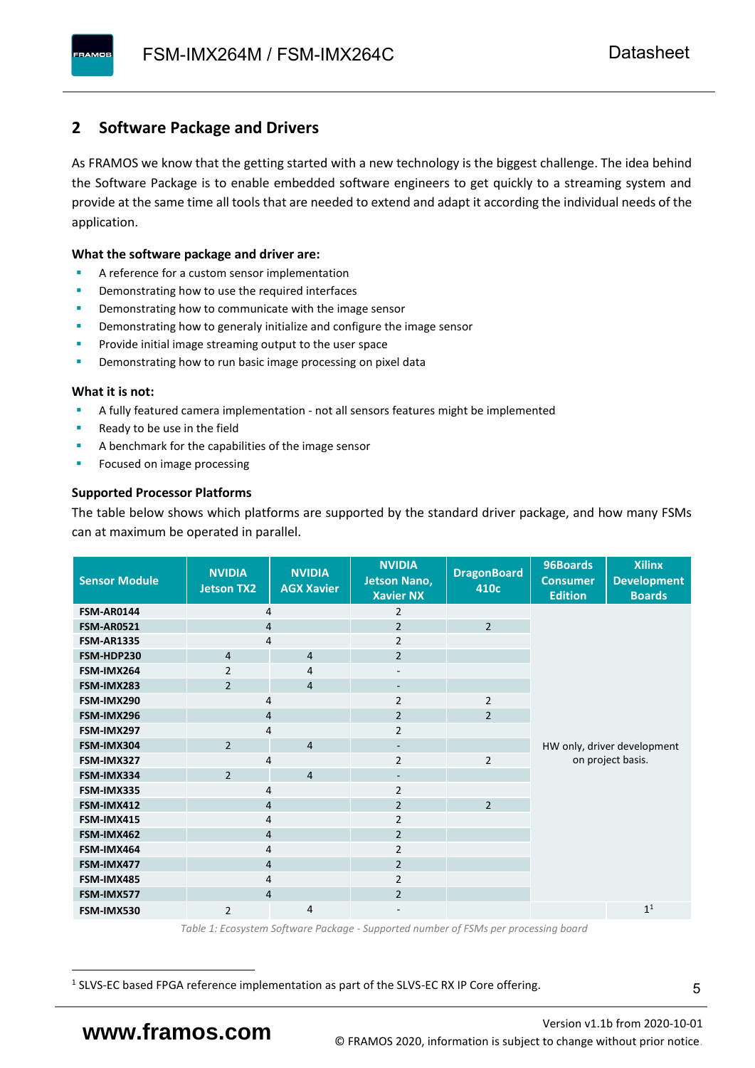# <span id="page-6-0"></span>**2 Software Package and Drivers**

As FRAMOS we know that the getting started with a new technology is the biggest challenge. The idea behind the Software Package is to enable embedded software engineers to get quickly to a streaming system and provide at the same time all tools that are needed to extend and adapt it according the individual needs of the application.

# **What the software package and driver are:**

- A reference for a custom sensor implementation
- Demonstrating how to use the required interfaces
- Demonstrating how to communicate with the image sensor
- Demonstrating how to generaly initialize and configure the image sensor
- Provide initial image streaming output to the user space
- Demonstrating how to run basic image processing on pixel data

### **What it is not:**

- A fully featured camera implementation not all sensors features might be implemented
- Ready to be use in the field
- A benchmark for the capabilities of the image sensor
- Focused on image processing

# **Supported Processor Platforms**

The table below shows which platforms are supported by the standard driver package, and how many FSMs can at maximum be operated in parallel.

| <b>Sensor Module</b> | <b>NVIDIA</b><br>Jetson TX2                                                                      | <b>NVIDIA</b><br><b>AGX Xavier</b> | <b>NVIDIA</b><br><b>Jetson Nano,</b><br><b>Xavier NX</b> | <b>DragonBoard</b><br>410c | 96Boards<br><b>Consumer</b><br><b>Edition</b>    | <b>Xilinx</b><br><b>Development</b><br><b>Boards</b> |  |  |
|----------------------|--------------------------------------------------------------------------------------------------|------------------------------------|----------------------------------------------------------|----------------------------|--------------------------------------------------|------------------------------------------------------|--|--|
| FSM-AR0144           | 4                                                                                                |                                    | 2                                                        |                            |                                                  |                                                      |  |  |
| <b>FSM-AR0521</b>    | $\overline{4}$                                                                                   |                                    | $\overline{2}$                                           | $\overline{2}$             |                                                  |                                                      |  |  |
| <b>FSM-AR1335</b>    | 4                                                                                                |                                    | $\overline{2}$                                           |                            |                                                  |                                                      |  |  |
| FSM-HDP230           | $\overline{4}$                                                                                   | $\overline{4}$                     | $\overline{2}$                                           |                            |                                                  |                                                      |  |  |
| FSM-IMX264           | $\overline{2}$                                                                                   | 4                                  | $\overline{\phantom{a}}$                                 |                            |                                                  |                                                      |  |  |
| FSM-IMX283           | $\overline{2}$                                                                                   | $\overline{4}$                     | $\overline{\phantom{a}}$                                 |                            |                                                  |                                                      |  |  |
| FSM-IMX290           | 4                                                                                                |                                    | $\overline{2}$                                           | $\overline{2}$             |                                                  |                                                      |  |  |
| FSM-IMX296           | $\overline{4}$                                                                                   |                                    | $\overline{2}$                                           | $\overline{2}$             |                                                  |                                                      |  |  |
| FSM-IMX297           | 4<br>$\overline{2}$<br>$\overline{4}$<br>4<br>$\overline{2}$<br>$\overline{4}$<br>$\overline{4}$ |                                    | $\overline{2}$                                           |                            | HW only, driver development<br>on project basis. |                                                      |  |  |
| FSM-IMX304           |                                                                                                  |                                    | $\overline{\phantom{m}}$                                 |                            |                                                  |                                                      |  |  |
| FSM-IMX327           |                                                                                                  |                                    | $\overline{2}$                                           | $\overline{2}$             |                                                  |                                                      |  |  |
| FSM-IMX334           |                                                                                                  |                                    | $\qquad \qquad \blacksquare$                             |                            |                                                  |                                                      |  |  |
| FSM-IMX335           |                                                                                                  |                                    | 2                                                        |                            |                                                  |                                                      |  |  |
| FSM-IMX412           | $\overline{4}$                                                                                   |                                    | $\overline{2}$                                           | $\overline{2}$             |                                                  |                                                      |  |  |
| FSM-IMX415           | $\overline{4}$                                                                                   |                                    | $\overline{2}$                                           |                            |                                                  |                                                      |  |  |
| FSM-IMX462           | $\overline{4}$                                                                                   |                                    | $\overline{2}$                                           |                            |                                                  |                                                      |  |  |
| FSM-IMX464           | $\overline{4}$                                                                                   |                                    | $\overline{2}$                                           |                            |                                                  |                                                      |  |  |
| FSM-IMX477           | $\overline{4}$                                                                                   |                                    | $\overline{2}$                                           |                            |                                                  |                                                      |  |  |
| FSM-IMX485           | 4                                                                                                |                                    | $\overline{2}$                                           |                            |                                                  |                                                      |  |  |
| FSM-IMX577           | $\overline{4}$                                                                                   |                                    | $\overline{2}$                                           |                            |                                                  |                                                      |  |  |
| FSM-IMX530           | $\overline{2}$                                                                                   | $\overline{4}$                     | $\qquad \qquad \blacksquare$                             |                            |                                                  | 1 <sup>1</sup>                                       |  |  |

*Table 1: Ecosystem Software Package - Supported number of FSMs per processing board*

<sup>1</sup> SLVS-EC based FPGA reference implementation as part of the SLVS-EC RX IP Core offering.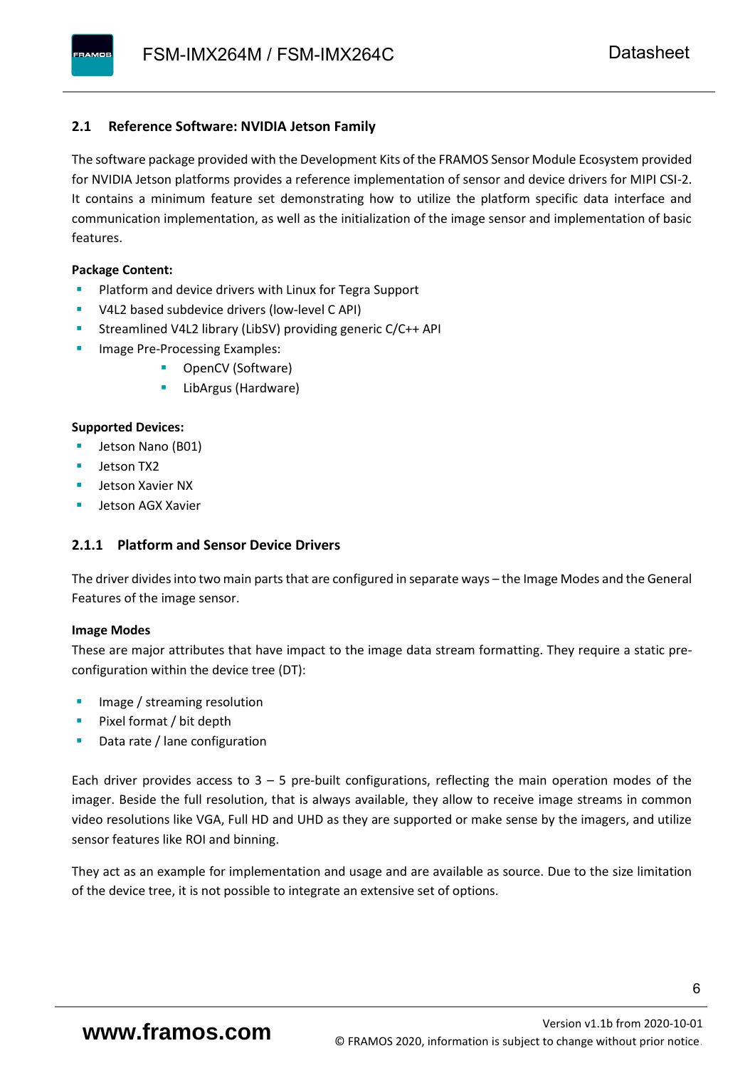# <span id="page-7-0"></span>**2.1 Reference Software: NVIDIA Jetson Family**

The software package provided with the Development Kits of the FRAMOS Sensor Module Ecosystem provided for NVIDIA Jetson platforms provides a reference implementation of sensor and device drivers for MIPI CSI-2. It contains a minimum feature set demonstrating how to utilize the platform specific data interface and communication implementation, as well as the initialization of the image sensor and implementation of basic features.

# **Package Content:**

- Platform and device drivers with Linux for Tegra Support
- V4L2 based subdevice drivers (low-level C API)
- Streamlined V4L2 library (LibSV) providing generic C/C++ API
- Image Pre-Processing Examples:
	- OpenCV (Software)
	- LibArgus (Hardware)

# **Supported Devices:**

- Jetson Nano (B01)
- Jetson TX2
- Jetson Xavier NX
- Jetson AGX Xavier

# <span id="page-7-1"></span>**2.1.1 Platform and Sensor Device Drivers**

The driver divides into two main parts that are configured in separate ways – the Image Modes and the General Features of the image sensor.

# **Image Modes**

These are major attributes that have impact to the image data stream formatting. They require a static preconfiguration within the device tree (DT):

- Image / streaming resolution
- Pixel format / bit depth
- Data rate / lane configuration

Each driver provides access to  $3 - 5$  pre-built configurations, reflecting the main operation modes of the imager. Beside the full resolution, that is always available, they allow to receive image streams in common video resolutions like VGA, Full HD and UHD as they are supported or make sense by the imagers, and utilize sensor features like ROI and binning.

They act as an example for implementation and usage and are available as source. Due to the size limitation of the device tree, it is not possible to integrate an extensive set of options.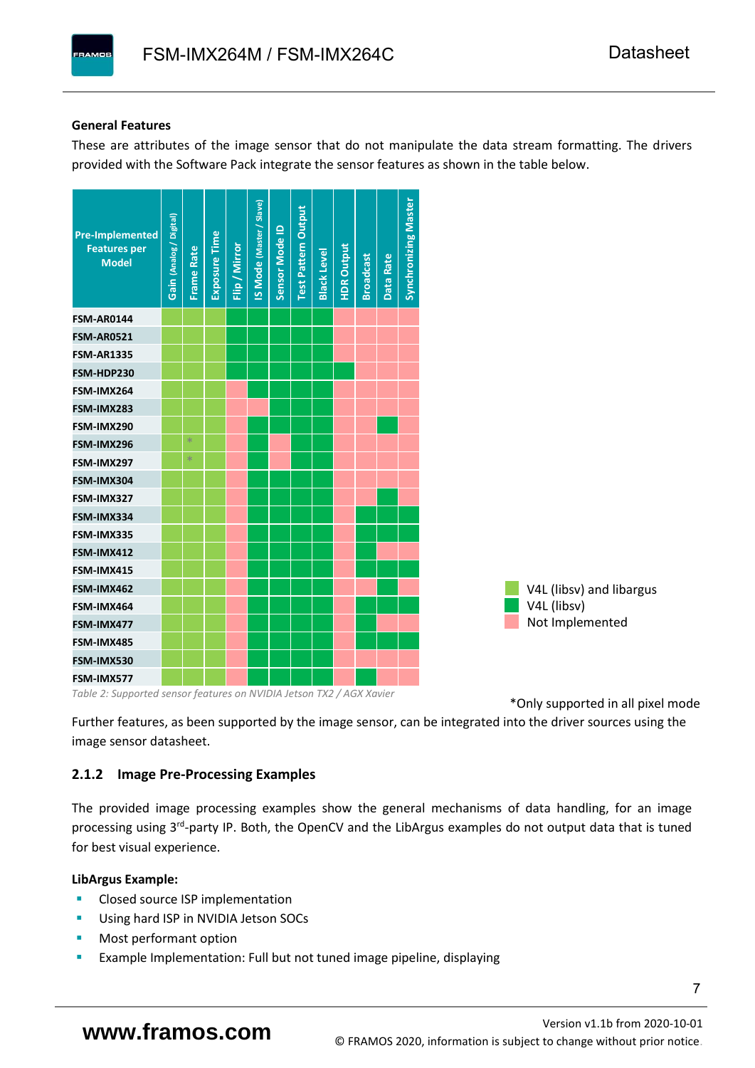# **General Features**

These are attributes of the image sensor that do not manipulate the data stream formatting. The drivers provided with the Software Pack integrate the sensor features as shown in the table below.



*Table 2: Supported sensor features on NVIDIA Jetson TX2 / AGX Xavier*

\*Only supported in all pixel mode

Further features, as been supported by the image sensor, can be integrated into the driver sources using the image sensor datasheet.

# <span id="page-8-0"></span>**2.1.2 Image Pre-Processing Examples**

The provided image processing examples show the general mechanisms of data handling, for an image processing using 3<sup>rd</sup>-party IP. Both, the OpenCV and the LibArgus examples do not output data that is tuned for best visual experience.

# **LibArgus Example:**

- Closed source ISP implementation
- Using hard ISP in NVIDIA Jetson SOCs
- Most performant option
- Example Implementation: Full but not tuned image pipeline, displaying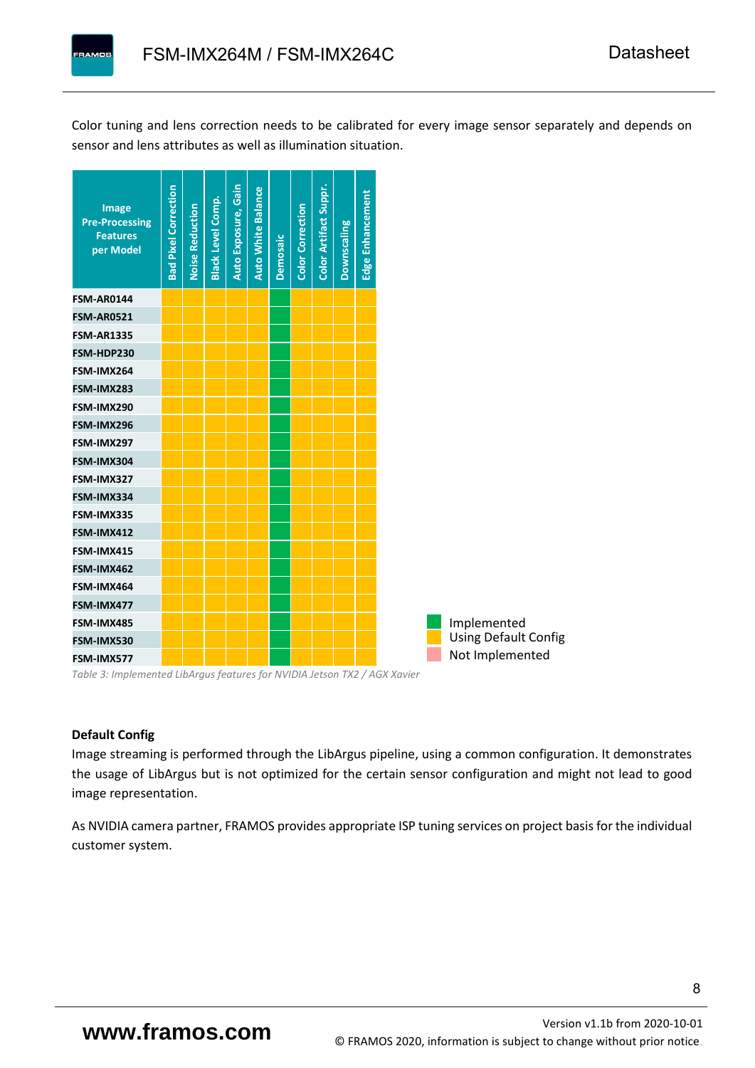Color tuning and lens correction needs to be calibrated for every image sensor separately and depends on sensor and lens attributes as well as illumination situation.



*Table 3: Implemented LibArgus features for NVIDIA Jetson TX2 / AGX Xavier*

# **Default Config**

Image streaming is performed through the LibArgus pipeline, using a common configuration. It demonstrates the usage of LibArgus but is not optimized for the certain sensor configuration and might not lead to good image representation.

As NVIDIA camera partner, FRAMOS provides appropriate ISP tuning services on project basisfor the individual customer system.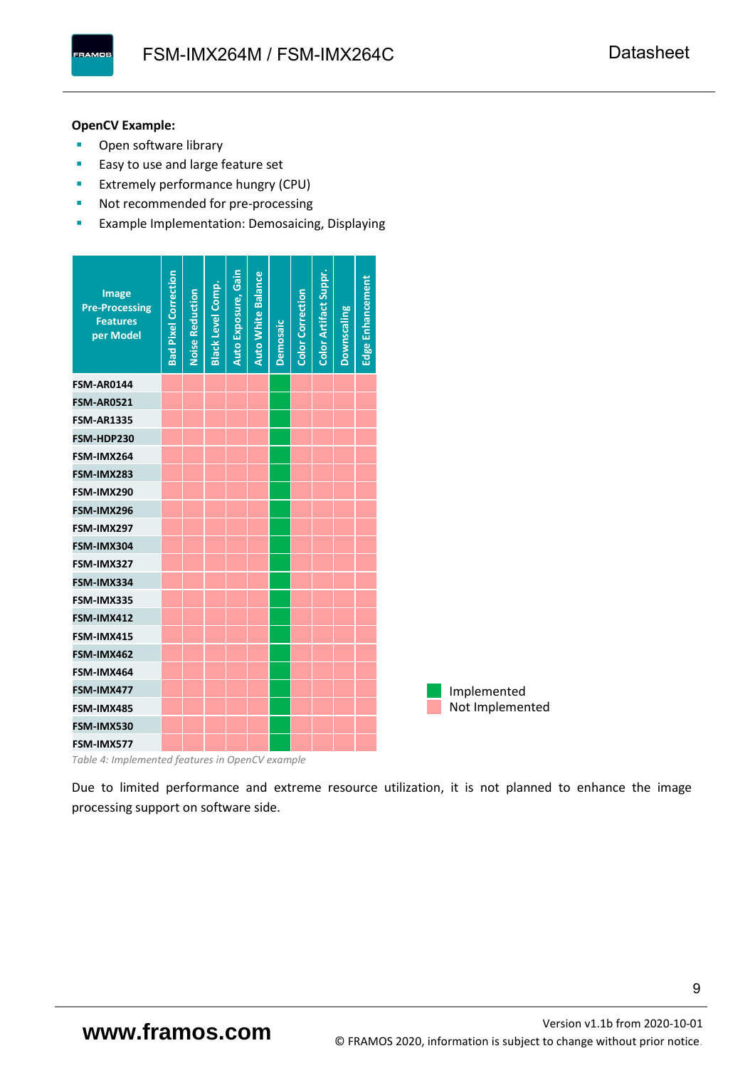**PAMOS** 

# **OpenCV Example:**

- Open software library
- Easy to use and large feature set
- **Extremely performance hungry (CPU)**
- Not recommended for pre-processing
- **EXample Implementation: Demosaicing, Displaying**

| <b>Image</b><br><b>Pre-Processing</b><br><b>Features</b><br>per Model | <b>Bad Pixel Correction</b> | <b>Noise Reduction</b> | <b>Black Level Comp.</b> | Auto Exposure, Gain | <b>Auto White Balance</b> | <b>Demosaic</b> | <b>Color Correction</b> | Color Artifact Suppr. | Downscaling | Edge Enhancement |
|-----------------------------------------------------------------------|-----------------------------|------------------------|--------------------------|---------------------|---------------------------|-----------------|-------------------------|-----------------------|-------------|------------------|
| <b>FSM-AR0144</b>                                                     |                             |                        |                          |                     |                           |                 |                         |                       |             |                  |
| <b>FSM-AR0521</b>                                                     |                             |                        |                          |                     |                           |                 |                         |                       |             |                  |
| <b>FSM-AR1335</b>                                                     |                             |                        |                          |                     |                           |                 |                         |                       |             |                  |
| FSM-HDP230                                                            |                             |                        |                          |                     |                           |                 |                         |                       |             |                  |
| FSM-IMX264                                                            |                             |                        |                          |                     |                           |                 |                         |                       |             |                  |
| FSM-IMX283                                                            |                             |                        |                          |                     |                           |                 |                         |                       |             |                  |
| FSM-IMX290                                                            |                             |                        |                          |                     |                           |                 |                         |                       |             |                  |
| FSM-IMX296                                                            |                             |                        |                          |                     |                           |                 |                         |                       |             |                  |
| FSM-IMX297                                                            |                             |                        |                          |                     |                           |                 |                         |                       |             |                  |
| FSM-IMX304                                                            |                             |                        |                          |                     |                           |                 |                         |                       |             |                  |
| FSM-IMX327                                                            |                             |                        |                          |                     |                           |                 |                         |                       |             |                  |
| FSM-IMX334                                                            |                             |                        |                          |                     |                           |                 |                         |                       |             |                  |
| FSM-IMX335                                                            |                             |                        |                          |                     |                           |                 |                         |                       |             |                  |
| FSM-IMX412                                                            |                             |                        |                          |                     |                           |                 |                         |                       |             |                  |
| FSM-IMX415                                                            |                             |                        |                          |                     |                           |                 |                         |                       |             |                  |
| FSM-IMX462                                                            |                             |                        |                          |                     |                           |                 |                         |                       |             |                  |
| FSM-IMX464                                                            |                             |                        |                          |                     |                           |                 |                         |                       |             |                  |
| FSM-IMX477                                                            |                             |                        |                          |                     |                           |                 |                         |                       |             |                  |
| FSM-IMX485                                                            |                             |                        |                          |                     |                           |                 |                         |                       |             |                  |
| FSM-IMX530                                                            |                             |                        |                          |                     |                           |                 |                         |                       |             |                  |
| FSM-IMX577                                                            |                             |                        |                          |                     |                           |                 |                         |                       |             |                  |

*Table 4: Implemented features in OpenCV example*

Due to limited performance and extreme resource utilization, it is not planned to enhance the image processing support on software side.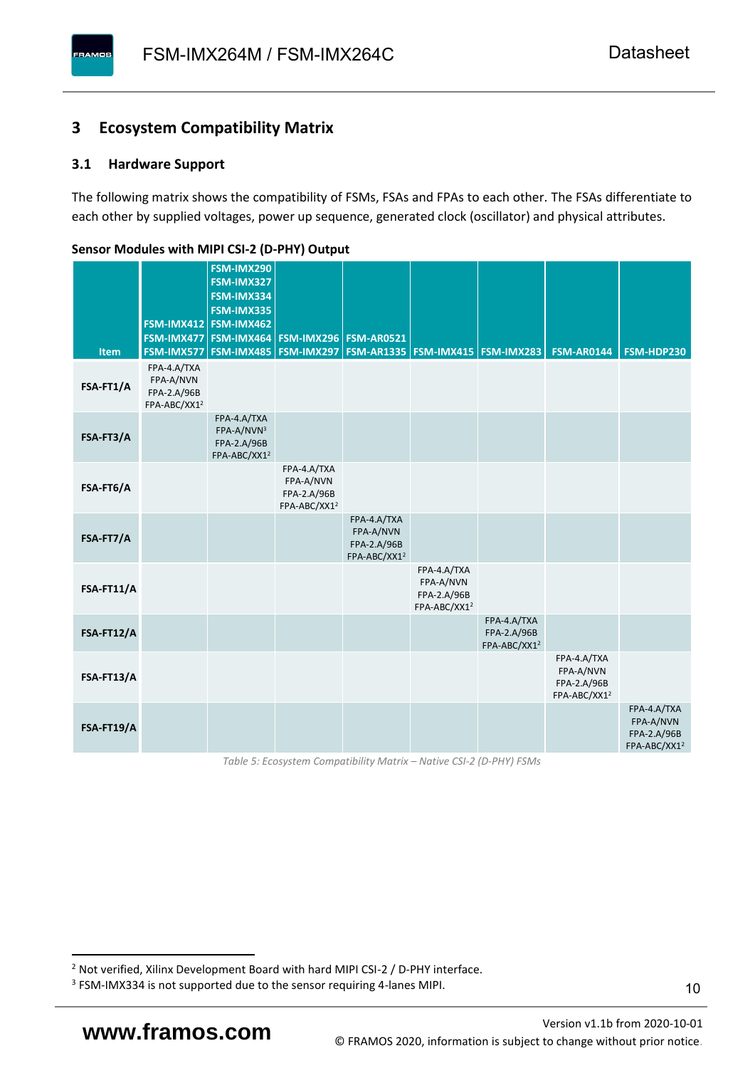# <span id="page-11-0"></span>**3 Ecosystem Compatibility Matrix**

# <span id="page-11-1"></span>**3.1 Hardware Support**

The following matrix shows the compatibility of FSMs, FSAs and FPAs to each other. The FSAs differentiate to each other by supplied voltages, power up sequence, generated clock (oscillator) and physical attributes.

<span id="page-11-2"></span>

| Item       | FSM-IMX477<br>FSM-IMX577                                            | <b>FSM-IMX290</b><br>FSM-IMX327<br>FSM-IMX334<br><b>FSM-IMX335</b><br>FSM-IMX412 FSM-IMX462<br>FSM-IMX464<br>FSM-IMX485 | <b>FSM-IMX296 FSM-AR0521</b><br><b>FSM-IMX297</b>                   |                                                                     | FSM-AR1335   FSM-IMX415   FSM-IMX283                                |                                                        | <b>FSM-AR0144</b>                                                   | FSM-HDP230                                                                 |
|------------|---------------------------------------------------------------------|-------------------------------------------------------------------------------------------------------------------------|---------------------------------------------------------------------|---------------------------------------------------------------------|---------------------------------------------------------------------|--------------------------------------------------------|---------------------------------------------------------------------|----------------------------------------------------------------------------|
| FSA-FT1/A  | FPA-4.A/TXA<br>FPA-A/NVN<br>FPA-2.A/96B<br>FPA-ABC/XX1 <sup>2</sup> |                                                                                                                         |                                                                     |                                                                     |                                                                     |                                                        |                                                                     |                                                                            |
| FSA-FT3/A  |                                                                     | FPA-4.A/TXA<br>FPA-A/NVN3<br>FPA-2.A/96B<br>FPA-ABC/XX1 <sup>2</sup>                                                    |                                                                     |                                                                     |                                                                     |                                                        |                                                                     |                                                                            |
| FSA-FT6/A  |                                                                     |                                                                                                                         | FPA-4.A/TXA<br>FPA-A/NVN<br>FPA-2.A/96B<br>FPA-ABC/XX1 <sup>2</sup> |                                                                     |                                                                     |                                                        |                                                                     |                                                                            |
| FSA-FT7/A  |                                                                     |                                                                                                                         |                                                                     | FPA-4.A/TXA<br>FPA-A/NVN<br>FPA-2.A/96B<br>FPA-ABC/XX1 <sup>2</sup> |                                                                     |                                                        |                                                                     |                                                                            |
| FSA-FT11/A |                                                                     |                                                                                                                         |                                                                     |                                                                     | FPA-4.A/TXA<br>FPA-A/NVN<br>FPA-2.A/96B<br>FPA-ABC/XX1 <sup>2</sup> |                                                        |                                                                     |                                                                            |
| FSA-FT12/A |                                                                     |                                                                                                                         |                                                                     |                                                                     |                                                                     | FPA-4.A/TXA<br>FPA-2.A/96B<br>FPA-ABC/XX1 <sup>2</sup> |                                                                     |                                                                            |
| FSA-FT13/A |                                                                     |                                                                                                                         |                                                                     |                                                                     |                                                                     |                                                        | FPA-4.A/TXA<br>FPA-A/NVN<br>FPA-2.A/96B<br>FPA-ABC/XX1 <sup>2</sup> |                                                                            |
| FSA-FT19/A |                                                                     |                                                                                                                         |                                                                     |                                                                     |                                                                     |                                                        |                                                                     | FPA-4.A/TXA<br>FPA-A/NVN<br><b>FPA-2.A/96B</b><br>FPA-ABC/XX1 <sup>2</sup> |

**Sensor Modules with MIPI CSI-2 (D-PHY) Output**

*Table 5: Ecosystem Compatibility Matrix – Native CSI-2 (D-PHY) FSMs*

<sup>2</sup> Not verified, Xilinx Development Board with hard MIPI CSI-2 / D-PHY interface.

<sup>&</sup>lt;sup>3</sup> FSM-IMX334 is not supported due to the sensor requiring 4-lanes MIPI.